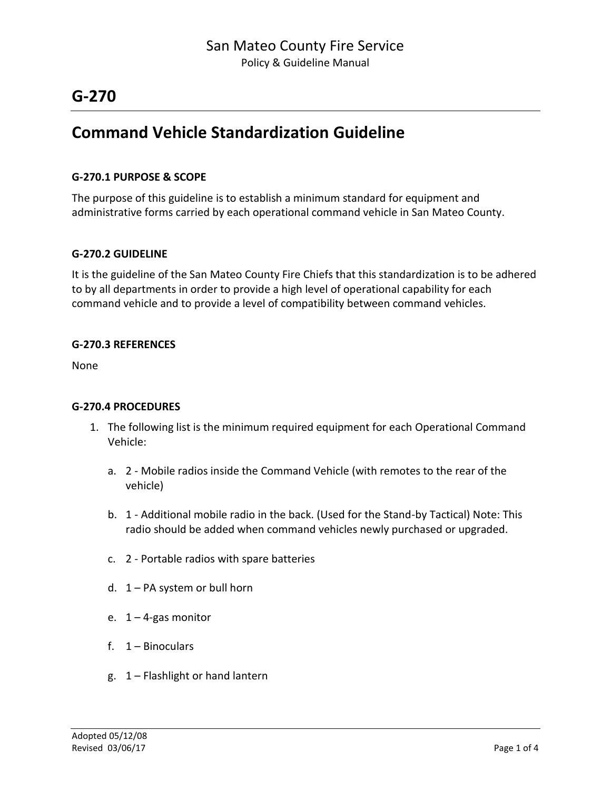## **G-270**

# **Command Vehicle Standardization Guideline**

#### **G-270.1 PURPOSE & SCOPE**

The purpose of this guideline is to establish a minimum standard for equipment and administrative forms carried by each operational command vehicle in San Mateo County.

#### **G-270.2 GUIDELINE**

It is the guideline of the San Mateo County Fire Chiefs that this standardization is to be adhered to by all departments in order to provide a high level of operational capability for each command vehicle and to provide a level of compatibility between command vehicles.

#### **G-270.3 REFERENCES**

None

#### **G-270.4 PROCEDURES**

- 1. The following list is the minimum required equipment for each Operational Command Vehicle:
	- a. 2 Mobile radios inside the Command Vehicle (with remotes to the rear of the vehicle)
	- b. 1 Additional mobile radio in the back. (Used for the Stand-by Tactical) Note: This radio should be added when command vehicles newly purchased or upgraded.
	- c. 2 Portable radios with spare batteries
	- d. 1 PA system or bull horn
	- e.  $1 4$ -gas monitor
	- f.  $1 -$  Binoculars
	- g. 1 Flashlight or hand lantern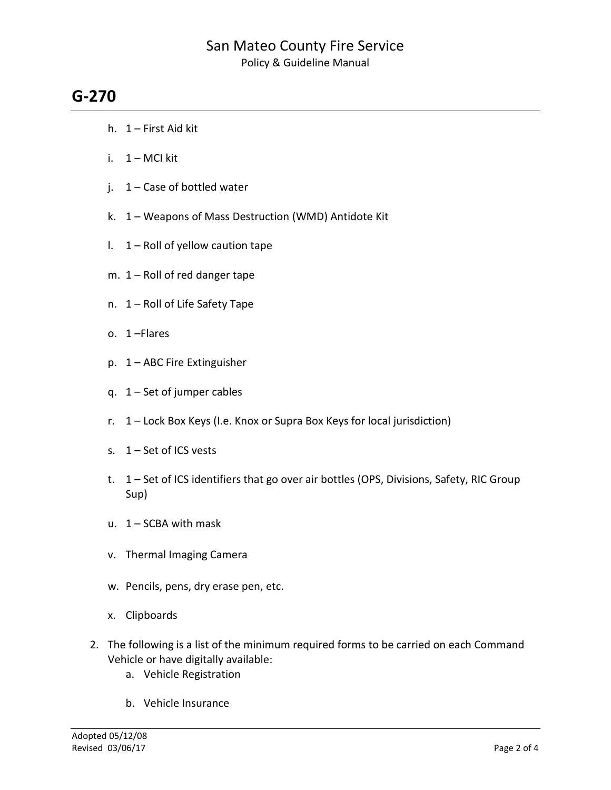## San Mateo County Fire Service Policy & Guideline Manual

# **G-270**

- h. 1 First Aid kit
- $i. 1 MCl$  kit
- j.  $1 Case of bottles water$
- k. 1 Weapons of Mass Destruction (WMD) Antidote Kit
- $l. 1 -$  Roll of yellow caution tape
- m. 1 Roll of red danger tape
- n. 1 Roll of Life Safety Tape
- o. 1 –Flares
- p. 1 ABC Fire Extinguisher
- q. 1 Set of jumper cables
- r. 1 Lock Box Keys (I.e. Knox or Supra Box Keys for local jurisdiction)
- s. 1 Set of ICS vests
- t. 1 Set of ICS identifiers that go over air bottles (OPS, Divisions, Safety, RIC Group Sup)
- u.  $1 -$  SCBA with mask
- v. Thermal Imaging Camera
- w. Pencils, pens, dry erase pen, etc.
- x. Clipboards
- 2. The following is a list of the minimum required forms to be carried on each Command Vehicle or have digitally available:
	- a. Vehicle Registration
	- b. Vehicle Insurance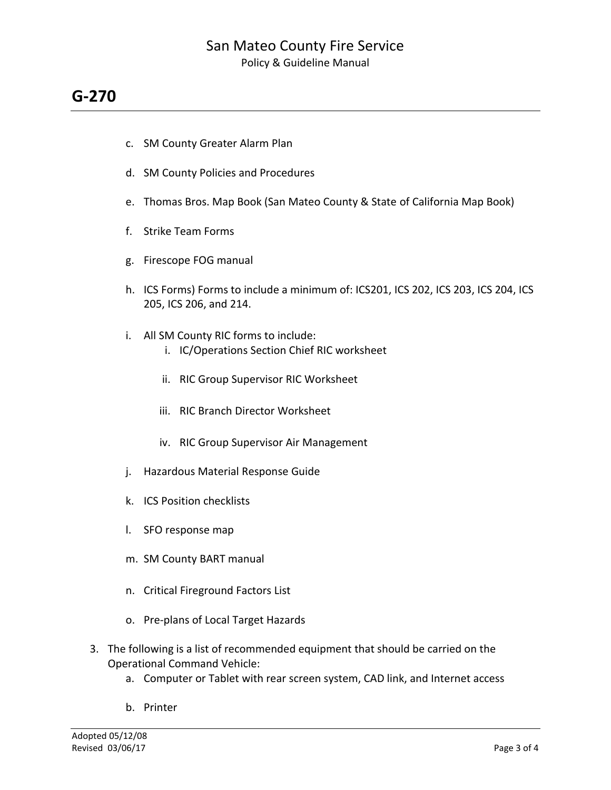### San Mateo County Fire Service Policy & Guideline Manual

- c. SM County Greater Alarm Plan
- d. SM County Policies and Procedures
- e. Thomas Bros. Map Book (San Mateo County & State of California Map Book)
- f. Strike Team Forms
- g. Firescope FOG manual
- h. ICS Forms) Forms to include a minimum of: ICS201, ICS 202, ICS 203, ICS 204, ICS 205, ICS 206, and 214.
- i. All SM County RIC forms to include:
	- i. IC/Operations Section Chief RIC worksheet
	- ii. RIC Group Supervisor RIC Worksheet
	- iii. RIC Branch Director Worksheet
	- iv. RIC Group Supervisor Air Management
- j. Hazardous Material Response Guide
- k. ICS Position checklists
- l. SFO response map
- m. SM County BART manual
- n. Critical Fireground Factors List
- o. Pre-plans of Local Target Hazards
- 3. The following is a list of recommended equipment that should be carried on the Operational Command Vehicle:
	- a. Computer or Tablet with rear screen system, CAD link, and Internet access
	- b. Printer